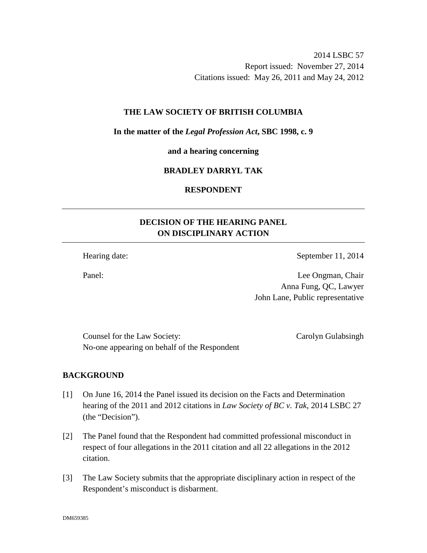2014 LSBC 57 Report issued: November 27, 2014 Citations issued: May 26, 2011 and May 24, 2012

### **THE LAW SOCIETY OF BRITISH COLUMBIA**

**In the matter of the** *Legal Profession Act***, SBC 1998, c. 9** 

**and a hearing concerning** 

## **BRADLEY DARRYL TAK**

## **RESPONDENT**

# **DECISION OF THE HEARING PANEL ON DISCIPLINARY ACTION**

Hearing date: September 11, 2014

Panel: Lee Ongman, Chair Anna Fung, QC, Lawyer John Lane, Public representative

Counsel for the Law Society: Carolyn Gulabsingh No-one appearing on behalf of the Respondent

## **BACKGROUND**

- [1] On June 16, 2014 the Panel issued its decision on the Facts and Determination hearing of the 2011 and 2012 citations in *Law Society of BC v. Tak*, 2014 LSBC 27 (the "Decision").
- [2] The Panel found that the Respondent had committed professional misconduct in respect of four allegations in the 2011 citation and all 22 allegations in the 2012 citation.
- [3] The Law Society submits that the appropriate disciplinary action in respect of the Respondent's misconduct is disbarment.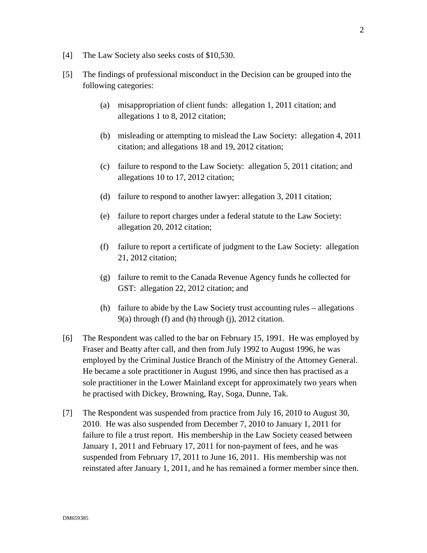- [4] The Law Society also seeks costs of \$10,530.
- [5] The findings of professional misconduct in the Decision can be grouped into the following categories:
	- (a) misappropriation of client funds: allegation 1, 2011 citation; and allegations 1 to 8, 2012 citation;
	- (b) misleading or attempting to mislead the Law Society: allegation 4, 2011 citation; and allegations 18 and 19, 2012 citation;
	- (c) failure to respond to the Law Society: allegation 5, 2011 citation; and allegations 10 to 17, 2012 citation;
	- (d) failure to respond to another lawyer: allegation 3, 2011 citation;
	- (e) failure to report charges under a federal statute to the Law Society: allegation 20, 2012 citation;
	- (f) failure to report a certificate of judgment to the Law Society: allegation 21, 2012 citation;
	- (g) failure to remit to the Canada Revenue Agency funds he collected for GST: allegation 22, 2012 citation; and
	- (h) failure to abide by the Law Society trust accounting rules allegations 9(a) through (f) and (h) through (j), 2012 citation.
- [6] The Respondent was called to the bar on February 15, 1991. He was employed by Fraser and Beatty after call, and then from July 1992 to August 1996, he was employed by the Criminal Justice Branch of the Ministry of the Attorney General. He became a sole practitioner in August 1996, and since then has practised as a sole practitioner in the Lower Mainland except for approximately two years when he practised with Dickey, Browning, Ray, Soga, Dunne, Tak.
- [7] The Respondent was suspended from practice from July 16, 2010 to August 30, 2010. He was also suspended from December 7, 2010 to January 1, 2011 for failure to file a trust report. His membership in the Law Society ceased between January 1, 2011 and February 17, 2011 for non-payment of fees, and he was suspended from February 17, 2011 to June 16, 2011. His membership was not reinstated after January 1, 2011, and he has remained a former member since then.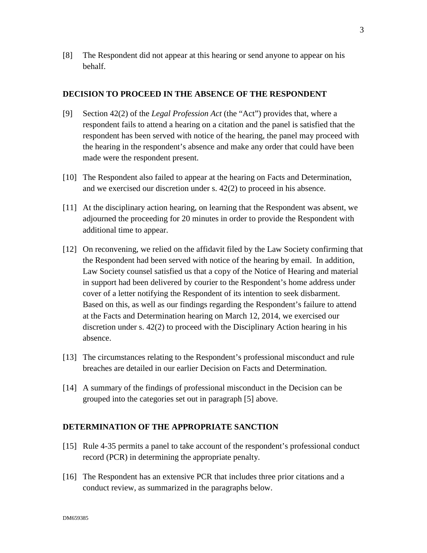[8] The Respondent did not appear at this hearing or send anyone to appear on his behalf.

### **DECISION TO PROCEED IN THE ABSENCE OF THE RESPONDENT**

- [9] Section 42(2) of the *Legal Profession Act* (the "Act") provides that, where a respondent fails to attend a hearing on a citation and the panel is satisfied that the respondent has been served with notice of the hearing, the panel may proceed with the hearing in the respondent's absence and make any order that could have been made were the respondent present.
- [10] The Respondent also failed to appear at the hearing on Facts and Determination, and we exercised our discretion under s. 42(2) to proceed in his absence.
- [11] At the disciplinary action hearing, on learning that the Respondent was absent, we adjourned the proceeding for 20 minutes in order to provide the Respondent with additional time to appear.
- [12] On reconvening, we relied on the affidavit filed by the Law Society confirming that the Respondent had been served with notice of the hearing by email. In addition, Law Society counsel satisfied us that a copy of the Notice of Hearing and material in support had been delivered by courier to the Respondent's home address under cover of a letter notifying the Respondent of its intention to seek disbarment. Based on this, as well as our findings regarding the Respondent's failure to attend at the Facts and Determination hearing on March 12, 2014, we exercised our discretion under s. 42(2) to proceed with the Disciplinary Action hearing in his absence.
- [13] The circumstances relating to the Respondent's professional misconduct and rule breaches are detailed in our earlier Decision on Facts and Determination.
- [14] A summary of the findings of professional misconduct in the Decision can be grouped into the categories set out in paragraph [5] above.

### **DETERMINATION OF THE APPROPRIATE SANCTION**

- [15] Rule 4-35 permits a panel to take account of the respondent's professional conduct record (PCR) in determining the appropriate penalty.
- [16] The Respondent has an extensive PCR that includes three prior citations and a conduct review, as summarized in the paragraphs below.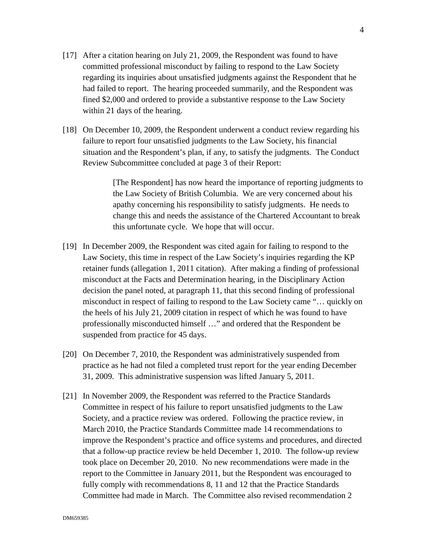- [17] After a citation hearing on July 21, 2009, the Respondent was found to have committed professional misconduct by failing to respond to the Law Society regarding its inquiries about unsatisfied judgments against the Respondent that he had failed to report. The hearing proceeded summarily, and the Respondent was fined \$2,000 and ordered to provide a substantive response to the Law Society within 21 days of the hearing.
- [18] On December 10, 2009, the Respondent underwent a conduct review regarding his failure to report four unsatisfied judgments to the Law Society, his financial situation and the Respondent's plan, if any, to satisfy the judgments. The Conduct Review Subcommittee concluded at page 3 of their Report:

[The Respondent] has now heard the importance of reporting judgments to the Law Society of British Columbia. We are very concerned about his apathy concerning his responsibility to satisfy judgments. He needs to change this and needs the assistance of the Chartered Accountant to break this unfortunate cycle. We hope that will occur.

- [19] In December 2009, the Respondent was cited again for failing to respond to the Law Society, this time in respect of the Law Society's inquiries regarding the KP retainer funds (allegation 1, 2011 citation). After making a finding of professional misconduct at the Facts and Determination hearing, in the Disciplinary Action decision the panel noted, at paragraph 11, that this second finding of professional misconduct in respect of failing to respond to the Law Society came "… quickly on the heels of his July 21, 2009 citation in respect of which he was found to have professionally misconducted himself …" and ordered that the Respondent be suspended from practice for 45 days.
- [20] On December 7, 2010, the Respondent was administratively suspended from practice as he had not filed a completed trust report for the year ending December 31, 2009. This administrative suspension was lifted January 5, 2011.
- [21] In November 2009, the Respondent was referred to the Practice Standards Committee in respect of his failure to report unsatisfied judgments to the Law Society, and a practice review was ordered. Following the practice review, in March 2010, the Practice Standards Committee made 14 recommendations to improve the Respondent's practice and office systems and procedures, and directed that a follow-up practice review be held December 1, 2010. The follow-up review took place on December 20, 2010. No new recommendations were made in the report to the Committee in January 2011, but the Respondent was encouraged to fully comply with recommendations 8, 11 and 12 that the Practice Standards Committee had made in March. The Committee also revised recommendation 2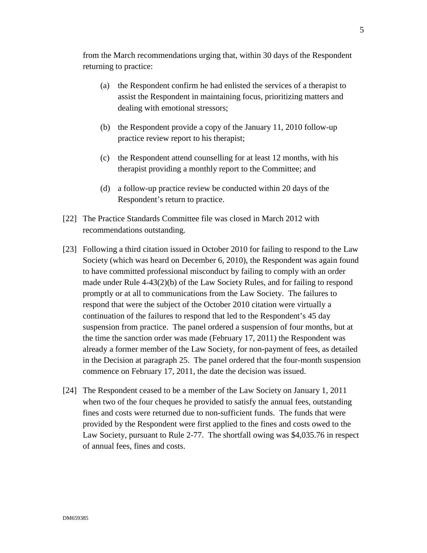from the March recommendations urging that, within 30 days of the Respondent returning to practice:

- (a) the Respondent confirm he had enlisted the services of a therapist to assist the Respondent in maintaining focus, prioritizing matters and dealing with emotional stressors;
- (b) the Respondent provide a copy of the January 11, 2010 follow-up practice review report to his therapist;
- (c) the Respondent attend counselling for at least 12 months, with his therapist providing a monthly report to the Committee; and
- (d) a follow-up practice review be conducted within 20 days of the Respondent's return to practice.
- [22] The Practice Standards Committee file was closed in March 2012 with recommendations outstanding.
- [23] Following a third citation issued in October 2010 for failing to respond to the Law Society (which was heard on December 6, 2010), the Respondent was again found to have committed professional misconduct by failing to comply with an order made under Rule 4-43(2)(b) of the Law Society Rules, and for failing to respond promptly or at all to communications from the Law Society. The failures to respond that were the subject of the October 2010 citation were virtually a continuation of the failures to respond that led to the Respondent's 45 day suspension from practice. The panel ordered a suspension of four months, but at the time the sanction order was made (February 17, 2011) the Respondent was already a former member of the Law Society, for non-payment of fees, as detailed in the Decision at paragraph 25. The panel ordered that the four-month suspension commence on February 17, 2011, the date the decision was issued.
- [24] The Respondent ceased to be a member of the Law Society on January 1, 2011 when two of the four cheques he provided to satisfy the annual fees, outstanding fines and costs were returned due to non-sufficient funds. The funds that were provided by the Respondent were first applied to the fines and costs owed to the Law Society, pursuant to Rule 2-77. The shortfall owing was \$4,035.76 in respect of annual fees, fines and costs.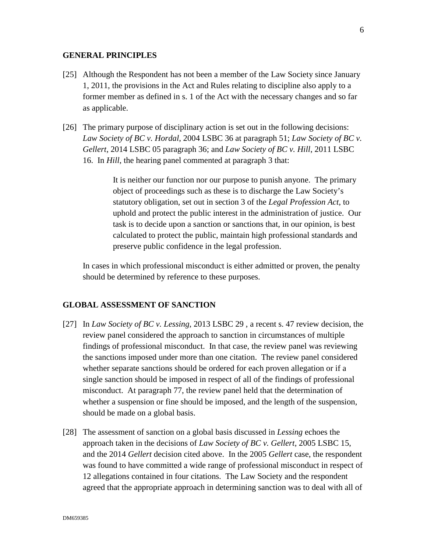#### **GENERAL PRINCIPLES**

- [25] Although the Respondent has not been a member of the Law Society since January 1, 2011, the provisions in the Act and Rules relating to discipline also apply to a former member as defined in s. 1 of the Act with the necessary changes and so far as applicable.
- [26] The primary purpose of disciplinary action is set out in the following decisions: *Law Society of BC v. Hordal*, 2004 LSBC 36 at paragraph 51; *Law Society of BC v. Gellert*, 2014 LSBC 05 paragraph 36; and *Law Society of BC v. Hill*, 2011 LSBC 16. In *Hill*, the hearing panel commented at paragraph 3 that:

It is neither our function nor our purpose to punish anyone. The primary object of proceedings such as these is to discharge the Law Society's statutory obligation, set out in section 3 of the *Legal Profession Act*, to uphold and protect the public interest in the administration of justice. Our task is to decide upon a sanction or sanctions that, in our opinion, is best calculated to protect the public, maintain high professional standards and preserve public confidence in the legal profession.

In cases in which professional misconduct is either admitted or proven, the penalty should be determined by reference to these purposes.

### **GLOBAL ASSESSMENT OF SANCTION**

- [27] In *Law Society of BC v. Lessing*, 2013 LSBC 29 , a recent s. 47 review decision, the review panel considered the approach to sanction in circumstances of multiple findings of professional misconduct. In that case, the review panel was reviewing the sanctions imposed under more than one citation. The review panel considered whether separate sanctions should be ordered for each proven allegation or if a single sanction should be imposed in respect of all of the findings of professional misconduct. At paragraph 77, the review panel held that the determination of whether a suspension or fine should be imposed, and the length of the suspension, should be made on a global basis.
- [28] The assessment of sanction on a global basis discussed in *Lessing* echoes the approach taken in the decisions of *Law Society of BC v. Gellert*, 2005 LSBC 15, and the 2014 *Gellert* decision cited above. In the 2005 *Gellert* case, the respondent was found to have committed a wide range of professional misconduct in respect of 12 allegations contained in four citations. The Law Society and the respondent agreed that the appropriate approach in determining sanction was to deal with all of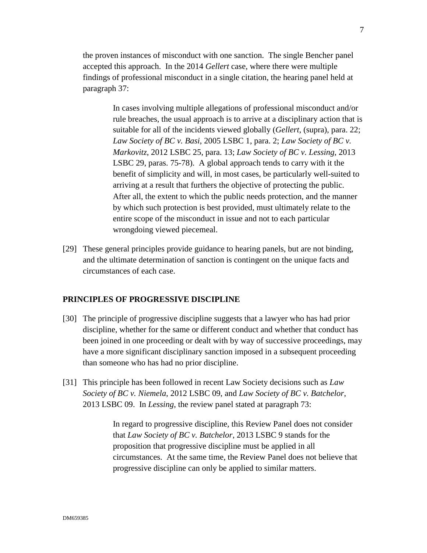the proven instances of misconduct with one sanction. The single Bencher panel accepted this approach. In the 2014 *Gellert* case, where there were multiple findings of professional misconduct in a single citation, the hearing panel held at paragraph 37:

> In cases involving multiple allegations of professional misconduct and/or rule breaches, the usual approach is to arrive at a disciplinary action that is suitable for all of the incidents viewed globally (*Gellert*, (supra), para. 22; *Law Society of BC v. Basi*, 2005 LSBC 1, para. 2; *Law Society of BC v. Markovitz*, 2012 LSBC 25, para. 13; *Law Society of BC v. Lessing*, 2013 LSBC 29, paras. 75-78). A global approach tends to carry with it the benefit of simplicity and will, in most cases, be particularly well-suited to arriving at a result that furthers the objective of protecting the public. After all, the extent to which the public needs protection, and the manner by which such protection is best provided, must ultimately relate to the entire scope of the misconduct in issue and not to each particular wrongdoing viewed piecemeal.

[29] These general principles provide guidance to hearing panels, but are not binding, and the ultimate determination of sanction is contingent on the unique facts and circumstances of each case.

## **PRINCIPLES OF PROGRESSIVE DISCIPLINE**

- [30] The principle of progressive discipline suggests that a lawyer who has had prior discipline, whether for the same or different conduct and whether that conduct has been joined in one proceeding or dealt with by way of successive proceedings, may have a more significant disciplinary sanction imposed in a subsequent proceeding than someone who has had no prior discipline.
- [31] This principle has been followed in recent Law Society decisions such as *Law Society of BC v. Niemela*, 2012 LSBC 09, and *Law Society of BC v. Batchelor*, 2013 LSBC 09. In *Lessing*, the review panel stated at paragraph 73:

In regard to progressive discipline, this Review Panel does not consider that *Law Society of BC v. Batchelor*, 2013 LSBC 9 stands for the proposition that progressive discipline must be applied in all circumstances. At the same time, the Review Panel does not believe that progressive discipline can only be applied to similar matters.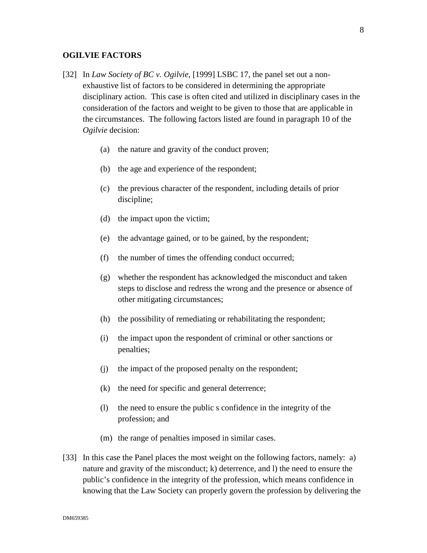### **OGILVIE FACTORS**

- [32] In *Law Society of BC v. Ogilvie*, [1999] LSBC 17, the panel set out a nonexhaustive list of factors to be considered in determining the appropriate disciplinary action. This case is often cited and utilized in disciplinary cases in the consideration of the factors and weight to be given to those that are applicable in the circumstances. The following factors listed are found in paragraph 10 of the *Ogilvie* decision:
	- (a) the nature and gravity of the conduct proven;
	- (b) the age and experience of the respondent;
	- (c) the previous character of the respondent, including details of prior discipline;
	- (d) the impact upon the victim;
	- (e) the advantage gained, or to be gained, by the respondent;
	- (f) the number of times the offending conduct occurred;
	- (g) whether the respondent has acknowledged the misconduct and taken steps to disclose and redress the wrong and the presence or absence of other mitigating circumstances;
	- (h) the possibility of remediating or rehabilitating the respondent;
	- (i) the impact upon the respondent of criminal or other sanctions or penalties;
	- (j) the impact of the proposed penalty on the respondent;
	- (k) the need for specific and general deterrence;
	- (l) the need to ensure the public s confidence in the integrity of the profession; and
	- (m) the range of penalties imposed in similar cases.
- [33] In this case the Panel places the most weight on the following factors, namely: a) nature and gravity of the misconduct; k) deterrence, and l) the need to ensure the public's confidence in the integrity of the profession, which means confidence in knowing that the Law Society can properly govern the profession by delivering the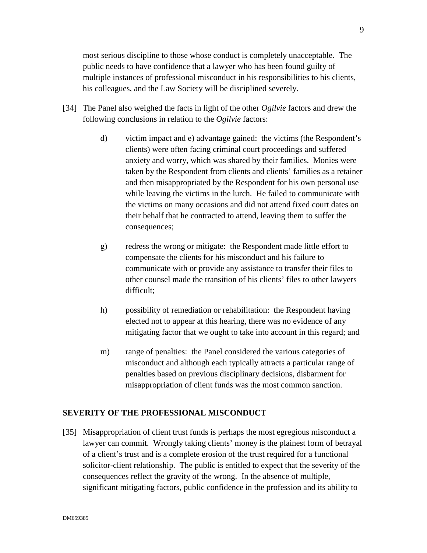most serious discipline to those whose conduct is completely unacceptable. The public needs to have confidence that a lawyer who has been found guilty of multiple instances of professional misconduct in his responsibilities to his clients, his colleagues, and the Law Society will be disciplined severely.

- [34] The Panel also weighed the facts in light of the other *Ogilvie* factors and drew the following conclusions in relation to the *Ogilvie* factors:
	- d) victim impact and e) advantage gained: the victims (the Respondent's clients) were often facing criminal court proceedings and suffered anxiety and worry, which was shared by their families. Monies were taken by the Respondent from clients and clients' families as a retainer and then misappropriated by the Respondent for his own personal use while leaving the victims in the lurch. He failed to communicate with the victims on many occasions and did not attend fixed court dates on their behalf that he contracted to attend, leaving them to suffer the consequences;
	- g) redress the wrong or mitigate: the Respondent made little effort to compensate the clients for his misconduct and his failure to communicate with or provide any assistance to transfer their files to other counsel made the transition of his clients' files to other lawyers difficult;
	- h) possibility of remediation or rehabilitation: the Respondent having elected not to appear at this hearing, there was no evidence of any mitigating factor that we ought to take into account in this regard; and
	- m) range of penalties: the Panel considered the various categories of misconduct and although each typically attracts a particular range of penalties based on previous disciplinary decisions, disbarment for misappropriation of client funds was the most common sanction.

## **SEVERITY OF THE PROFESSIONAL MISCONDUCT**

[35] Misappropriation of client trust funds is perhaps the most egregious misconduct a lawyer can commit. Wrongly taking clients' money is the plainest form of betrayal of a client's trust and is a complete erosion of the trust required for a functional solicitor-client relationship. The public is entitled to expect that the severity of the consequences reflect the gravity of the wrong. In the absence of multiple, significant mitigating factors, public confidence in the profession and its ability to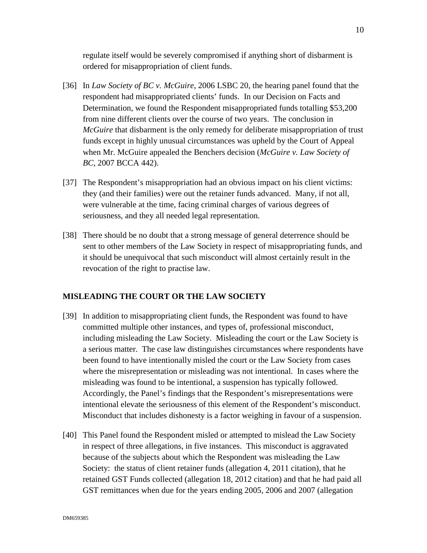regulate itself would be severely compromised if anything short of disbarment is ordered for misappropriation of client funds.

- [36] In *Law Society of BC v. McGuire*, 2006 LSBC 20, the hearing panel found that the respondent had misappropriated clients' funds. In our Decision on Facts and Determination, we found the Respondent misappropriated funds totalling \$53,200 from nine different clients over the course of two years. The conclusion in *McGuire* that disbarment is the only remedy for deliberate misappropriation of trust funds except in highly unusual circumstances was upheld by the Court of Appeal when Mr. McGuire appealed the Benchers decision (*McGuire v. Law Society of BC*, 2007 BCCA 442).
- [37] The Respondent's misappropriation had an obvious impact on his client victims: they (and their families) were out the retainer funds advanced. Many, if not all, were vulnerable at the time, facing criminal charges of various degrees of seriousness, and they all needed legal representation.
- [38] There should be no doubt that a strong message of general deterrence should be sent to other members of the Law Society in respect of misappropriating funds, and it should be unequivocal that such misconduct will almost certainly result in the revocation of the right to practise law.

## **MISLEADING THE COURT OR THE LAW SOCIETY**

- [39] In addition to misappropriating client funds, the Respondent was found to have committed multiple other instances, and types of, professional misconduct, including misleading the Law Society. Misleading the court or the Law Society is a serious matter. The case law distinguishes circumstances where respondents have been found to have intentionally misled the court or the Law Society from cases where the misrepresentation or misleading was not intentional. In cases where the misleading was found to be intentional, a suspension has typically followed. Accordingly, the Panel's findings that the Respondent's misrepresentations were intentional elevate the seriousness of this element of the Respondent's misconduct. Misconduct that includes dishonesty is a factor weighing in favour of a suspension.
- [40] This Panel found the Respondent misled or attempted to mislead the Law Society in respect of three allegations, in five instances. This misconduct is aggravated because of the subjects about which the Respondent was misleading the Law Society: the status of client retainer funds (allegation 4, 2011 citation), that he retained GST Funds collected (allegation 18, 2012 citation) and that he had paid all GST remittances when due for the years ending 2005, 2006 and 2007 (allegation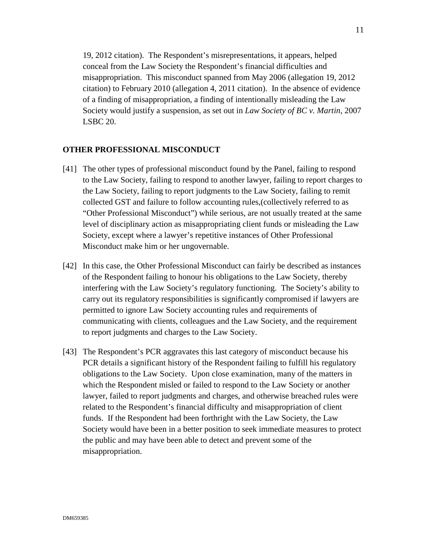19, 2012 citation). The Respondent's misrepresentations, it appears, helped conceal from the Law Society the Respondent's financial difficulties and misappropriation. This misconduct spanned from May 2006 (allegation 19, 2012 citation) to February 2010 (allegation 4, 2011 citation). In the absence of evidence of a finding of misappropriation, a finding of intentionally misleading the Law Society would justify a suspension, as set out in *Law Society of BC v. Martin*, 2007 LSBC 20.

### **OTHER PROFESSIONAL MISCONDUCT**

- [41] The other types of professional misconduct found by the Panel, failing to respond to the Law Society, failing to respond to another lawyer, failing to report charges to the Law Society, failing to report judgments to the Law Society, failing to remit collected GST and failure to follow accounting rules,(collectively referred to as "Other Professional Misconduct") while serious, are not usually treated at the same level of disciplinary action as misappropriating client funds or misleading the Law Society, except where a lawyer's repetitive instances of Other Professional Misconduct make him or her ungovernable.
- [42] In this case, the Other Professional Misconduct can fairly be described as instances of the Respondent failing to honour his obligations to the Law Society, thereby interfering with the Law Society's regulatory functioning. The Society's ability to carry out its regulatory responsibilities is significantly compromised if lawyers are permitted to ignore Law Society accounting rules and requirements of communicating with clients, colleagues and the Law Society, and the requirement to report judgments and charges to the Law Society.
- [43] The Respondent's PCR aggravates this last category of misconduct because his PCR details a significant history of the Respondent failing to fulfill his regulatory obligations to the Law Society. Upon close examination, many of the matters in which the Respondent misled or failed to respond to the Law Society or another lawyer, failed to report judgments and charges, and otherwise breached rules were related to the Respondent's financial difficulty and misappropriation of client funds. If the Respondent had been forthright with the Law Society, the Law Society would have been in a better position to seek immediate measures to protect the public and may have been able to detect and prevent some of the misappropriation.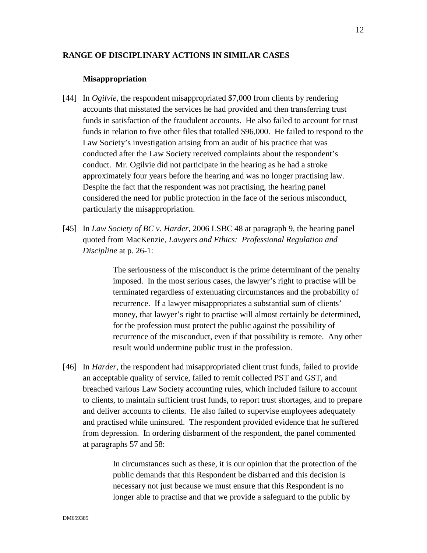### **RANGE OF DISCIPLINARY ACTIONS IN SIMILAR CASES**

#### **Misappropriation**

- [44] In *Ogilvie*, the respondent misappropriated \$7,000 from clients by rendering accounts that misstated the services he had provided and then transferring trust funds in satisfaction of the fraudulent accounts. He also failed to account for trust funds in relation to five other files that totalled \$96,000. He failed to respond to the Law Society's investigation arising from an audit of his practice that was conducted after the Law Society received complaints about the respondent's conduct. Mr. Ogilvie did not participate in the hearing as he had a stroke approximately four years before the hearing and was no longer practising law. Despite the fact that the respondent was not practising, the hearing panel considered the need for public protection in the face of the serious misconduct, particularly the misappropriation.
- [45] In *Law Society of BC v. Harder*, 2006 LSBC 48 at paragraph 9, the hearing panel quoted from MacKenzie, *Lawyers and Ethics: Professional Regulation and Discipline* at p. 26-1:

The seriousness of the misconduct is the prime determinant of the penalty imposed. In the most serious cases, the lawyer's right to practise will be terminated regardless of extenuating circumstances and the probability of recurrence. If a lawyer misappropriates a substantial sum of clients' money, that lawyer's right to practise will almost certainly be determined, for the profession must protect the public against the possibility of recurrence of the misconduct, even if that possibility is remote. Any other result would undermine public trust in the profession.

[46] In *Harder*, the respondent had misappropriated client trust funds, failed to provide an acceptable quality of service, failed to remit collected PST and GST, and breached various Law Society accounting rules, which included failure to account to clients, to maintain sufficient trust funds, to report trust shortages, and to prepare and deliver accounts to clients. He also failed to supervise employees adequately and practised while uninsured. The respondent provided evidence that he suffered from depression. In ordering disbarment of the respondent, the panel commented at paragraphs 57 and 58:

> In circumstances such as these, it is our opinion that the protection of the public demands that this Respondent be disbarred and this decision is necessary not just because we must ensure that this Respondent is no longer able to practise and that we provide a safeguard to the public by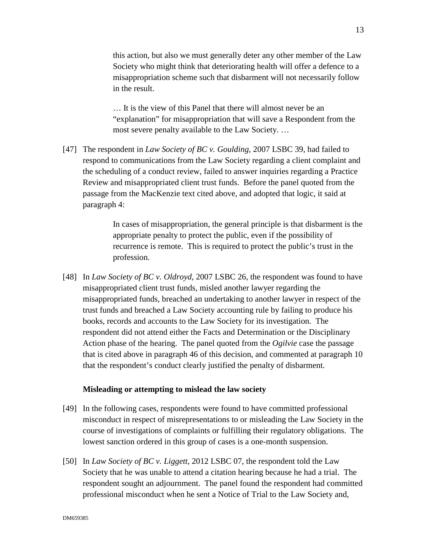this action, but also we must generally deter any other member of the Law Society who might think that deteriorating health will offer a defence to a misappropriation scheme such that disbarment will not necessarily follow in the result.

… It is the view of this Panel that there will almost never be an "explanation" for misappropriation that will save a Respondent from the most severe penalty available to the Law Society. …

[47] The respondent in *Law Society of BC v. Goulding*, 2007 LSBC 39, had failed to respond to communications from the Law Society regarding a client complaint and the scheduling of a conduct review, failed to answer inquiries regarding a Practice Review and misappropriated client trust funds. Before the panel quoted from the passage from the MacKenzie text cited above, and adopted that logic, it said at paragraph 4:

> In cases of misappropriation, the general principle is that disbarment is the appropriate penalty to protect the public, even if the possibility of recurrence is remote. This is required to protect the public's trust in the profession.

[48] In *Law Society of BC v. Oldroyd*, 2007 LSBC 26, the respondent was found to have misappropriated client trust funds, misled another lawyer regarding the misappropriated funds, breached an undertaking to another lawyer in respect of the trust funds and breached a Law Society accounting rule by failing to produce his books, records and accounts to the Law Society for its investigation. The respondent did not attend either the Facts and Determination or the Disciplinary Action phase of the hearing. The panel quoted from the *Ogilvie* case the passage that is cited above in paragraph 46 of this decision, and commented at paragraph 10 that the respondent's conduct clearly justified the penalty of disbarment.

### **Misleading or attempting to mislead the law society**

- [49] In the following cases, respondents were found to have committed professional misconduct in respect of misrepresentations to or misleading the Law Society in the course of investigations of complaints or fulfilling their regulatory obligations. The lowest sanction ordered in this group of cases is a one-month suspension.
- [50] In *Law Society of BC v. Liggett*, 2012 LSBC 07, the respondent told the Law Society that he was unable to attend a citation hearing because he had a trial. The respondent sought an adjournment. The panel found the respondent had committed professional misconduct when he sent a Notice of Trial to the Law Society and,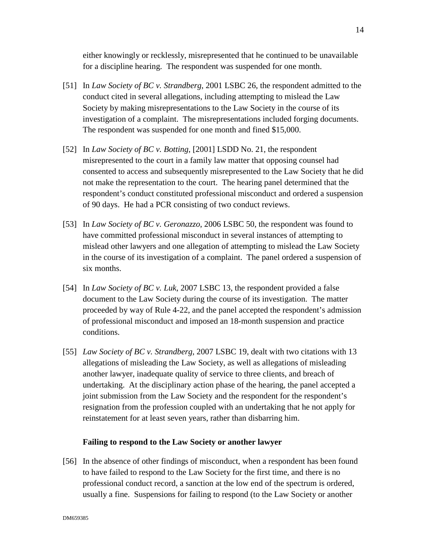either knowingly or recklessly, misrepresented that he continued to be unavailable for a discipline hearing. The respondent was suspended for one month.

- [51] In *Law Society of BC v. Strandberg*, 2001 LSBC 26, the respondent admitted to the conduct cited in several allegations, including attempting to mislead the Law Society by making misrepresentations to the Law Society in the course of its investigation of a complaint. The misrepresentations included forging documents. The respondent was suspended for one month and fined \$15,000.
- [52] In *Law Society of BC v. Botting*, [2001] LSDD No. 21, the respondent misrepresented to the court in a family law matter that opposing counsel had consented to access and subsequently misrepresented to the Law Society that he did not make the representation to the court. The hearing panel determined that the respondent's conduct constituted professional misconduct and ordered a suspension of 90 days. He had a PCR consisting of two conduct reviews.
- [53] In *Law Society of BC v. Geronazzo*, 2006 LSBC 50, the respondent was found to have committed professional misconduct in several instances of attempting to mislead other lawyers and one allegation of attempting to mislead the Law Society in the course of its investigation of a complaint. The panel ordered a suspension of six months.
- [54] In *Law Society of BC v. Luk*, 2007 LSBC 13, the respondent provided a false document to the Law Society during the course of its investigation. The matter proceeded by way of Rule 4-22, and the panel accepted the respondent's admission of professional misconduct and imposed an 18-month suspension and practice conditions.
- [55] *Law Society of BC v. Strandberg*, 2007 LSBC 19, dealt with two citations with 13 allegations of misleading the Law Society, as well as allegations of misleading another lawyer, inadequate quality of service to three clients, and breach of undertaking. At the disciplinary action phase of the hearing, the panel accepted a joint submission from the Law Society and the respondent for the respondent's resignation from the profession coupled with an undertaking that he not apply for reinstatement for at least seven years, rather than disbarring him.

## **Failing to respond to the Law Society or another lawyer**

[56] In the absence of other findings of misconduct, when a respondent has been found to have failed to respond to the Law Society for the first time, and there is no professional conduct record, a sanction at the low end of the spectrum is ordered, usually a fine. Suspensions for failing to respond (to the Law Society or another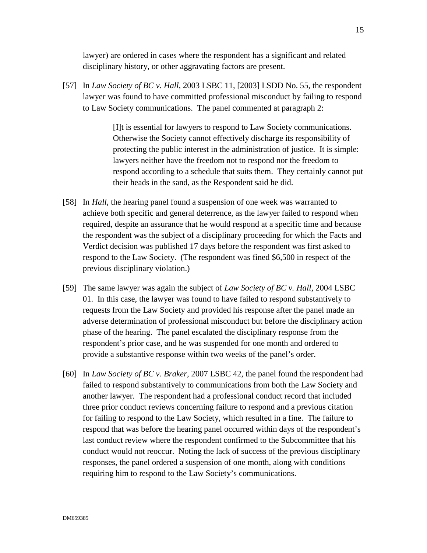lawyer) are ordered in cases where the respondent has a significant and related disciplinary history, or other aggravating factors are present.

[57] In *Law Society of BC v. Hall*, 2003 LSBC 11, [2003] LSDD No. 55, the respondent lawyer was found to have committed professional misconduct by failing to respond to Law Society communications. The panel commented at paragraph 2:

> [I]t is essential for lawyers to respond to Law Society communications. Otherwise the Society cannot effectively discharge its responsibility of protecting the public interest in the administration of justice. It is simple: lawyers neither have the freedom not to respond nor the freedom to respond according to a schedule that suits them. They certainly cannot put their heads in the sand, as the Respondent said he did.

- [58] In *Hall*, the hearing panel found a suspension of one week was warranted to achieve both specific and general deterrence, as the lawyer failed to respond when required, despite an assurance that he would respond at a specific time and because the respondent was the subject of a disciplinary proceeding for which the Facts and Verdict decision was published 17 days before the respondent was first asked to respond to the Law Society. (The respondent was fined \$6,500 in respect of the previous disciplinary violation.)
- [59] The same lawyer was again the subject of *Law Society of BC v. Hall*, 2004 LSBC 01. In this case, the lawyer was found to have failed to respond substantively to requests from the Law Society and provided his response after the panel made an adverse determination of professional misconduct but before the disciplinary action phase of the hearing. The panel escalated the disciplinary response from the respondent's prior case, and he was suspended for one month and ordered to provide a substantive response within two weeks of the panel's order.
- [60] In *Law Society of BC v. Braker*, 2007 LSBC 42, the panel found the respondent had failed to respond substantively to communications from both the Law Society and another lawyer. The respondent had a professional conduct record that included three prior conduct reviews concerning failure to respond and a previous citation for failing to respond to the Law Society, which resulted in a fine. The failure to respond that was before the hearing panel occurred within days of the respondent's last conduct review where the respondent confirmed to the Subcommittee that his conduct would not reoccur. Noting the lack of success of the previous disciplinary responses, the panel ordered a suspension of one month, along with conditions requiring him to respond to the Law Society's communications.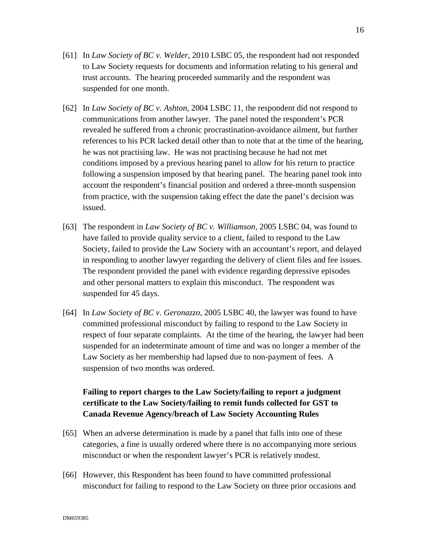- [61] In *Law Society of BC v. Welder*, 2010 LSBC 05, the respondent had not responded to Law Society requests for documents and information relating to his general and trust accounts. The hearing proceeded summarily and the respondent was suspended for one month.
- [62] In *Law Society of BC v. Ashton*, 2004 LSBC 11, the respondent did not respond to communications from another lawyer. The panel noted the respondent's PCR revealed he suffered from a chronic procrastination-avoidance ailment, but further references to his PCR lacked detail other than to note that at the time of the hearing, he was not practising law. He was not practising because he had not met conditions imposed by a previous hearing panel to allow for his return to practice following a suspension imposed by that hearing panel. The hearing panel took into account the respondent's financial position and ordered a three-month suspension from practice, with the suspension taking effect the date the panel's decision was issued.
- [63] The respondent in *Law Society of BC v. Williamson*, 2005 LSBC 04, was found to have failed to provide quality service to a client, failed to respond to the Law Society, failed to provide the Law Society with an accountant's report, and delayed in responding to another lawyer regarding the delivery of client files and fee issues. The respondent provided the panel with evidence regarding depressive episodes and other personal matters to explain this misconduct. The respondent was suspended for 45 days.
- [64] In *Law Society of BC v. Geronazzo*, 2005 LSBC 40, the lawyer was found to have committed professional misconduct by failing to respond to the Law Society in respect of four separate complaints. At the time of the hearing, the lawyer had been suspended for an indeterminate amount of time and was no longer a member of the Law Society as her membership had lapsed due to non-payment of fees. A suspension of two months was ordered.

# **Failing to report charges to the Law Society/failing to report a judgment certificate to the Law Society/failing to remit funds collected for GST to Canada Revenue Agency/breach of Law Society Accounting Rules**

- [65] When an adverse determination is made by a panel that falls into one of these categories, a fine is usually ordered where there is no accompanying more serious misconduct or when the respondent lawyer's PCR is relatively modest.
- [66] However, this Respondent has been found to have committed professional misconduct for failing to respond to the Law Society on three prior occasions and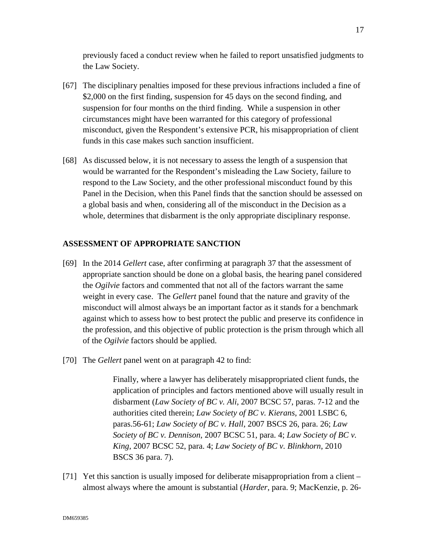previously faced a conduct review when he failed to report unsatisfied judgments to the Law Society.

- [67] The disciplinary penalties imposed for these previous infractions included a fine of \$2,000 on the first finding, suspension for 45 days on the second finding, and suspension for four months on the third finding. While a suspension in other circumstances might have been warranted for this category of professional misconduct, given the Respondent's extensive PCR, his misappropriation of client funds in this case makes such sanction insufficient.
- [68] As discussed below, it is not necessary to assess the length of a suspension that would be warranted for the Respondent's misleading the Law Society, failure to respond to the Law Society, and the other professional misconduct found by this Panel in the Decision, when this Panel finds that the sanction should be assessed on a global basis and when, considering all of the misconduct in the Decision as a whole, determines that disbarment is the only appropriate disciplinary response.

## **ASSESSMENT OF APPROPRIATE SANCTION**

- [69] In the 2014 *Gellert* case, after confirming at paragraph 37 that the assessment of appropriate sanction should be done on a global basis, the hearing panel considered the *Ogilvie* factors and commented that not all of the factors warrant the same weight in every case. The *Gellert* panel found that the nature and gravity of the misconduct will almost always be an important factor as it stands for a benchmark against which to assess how to best protect the public and preserve its confidence in the profession, and this objective of public protection is the prism through which all of the *Ogilvie* factors should be applied.
- [70] The *Gellert* panel went on at paragraph 42 to find:

Finally, where a lawyer has deliberately misappropriated client funds, the application of principles and factors mentioned above will usually result in disbarment (*Law Society of BC v. Ali*, 2007 BCSC 57, paras. 7-12 and the authorities cited therein; *Law Society of BC v. Kierans*, 2001 LSBC 6, paras.56-61; *Law Society of BC v. Hall*, 2007 BSCS 26, para. 26; *Law Society of BC v. Dennison*, 2007 BCSC 51, para. 4; *Law Society of BC v. King*, 2007 BCSC 52, para. 4; *Law Society of BC v. Blinkhorn*, 2010 BSCS 36 para. 7).

[71] Yet this sanction is usually imposed for deliberate misappropriation from a client – almost always where the amount is substantial (*Harder*, para. 9; MacKenzie, p. 26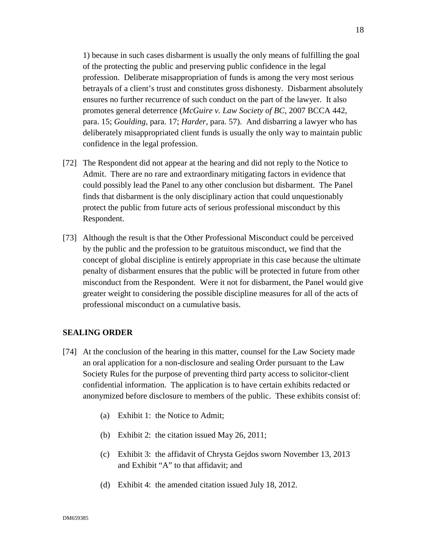1) because in such cases disbarment is usually the only means of fulfilling the goal of the protecting the public and preserving public confidence in the legal profession. Deliberate misappropriation of funds is among the very most serious betrayals of a client's trust and constitutes gross dishonesty. Disbarment absolutely ensures no further recurrence of such conduct on the part of the lawyer. It also promotes general deterrence (*McGuire v. Law Society of BC*, 2007 BCCA 442, para. 15; *Goulding*, para. 17; *Harder*, para. 57). And disbarring a lawyer who has deliberately misappropriated client funds is usually the only way to maintain public confidence in the legal profession.

- [72] The Respondent did not appear at the hearing and did not reply to the Notice to Admit. There are no rare and extraordinary mitigating factors in evidence that could possibly lead the Panel to any other conclusion but disbarment. The Panel finds that disbarment is the only disciplinary action that could unquestionably protect the public from future acts of serious professional misconduct by this Respondent.
- [73] Although the result is that the Other Professional Misconduct could be perceived by the public and the profession to be gratuitous misconduct, we find that the concept of global discipline is entirely appropriate in this case because the ultimate penalty of disbarment ensures that the public will be protected in future from other misconduct from the Respondent. Were it not for disbarment, the Panel would give greater weight to considering the possible discipline measures for all of the acts of professional misconduct on a cumulative basis.

### **SEALING ORDER**

- [74] At the conclusion of the hearing in this matter, counsel for the Law Society made an oral application for a non-disclosure and sealing Order pursuant to the Law Society Rules for the purpose of preventing third party access to solicitor-client confidential information. The application is to have certain exhibits redacted or anonymized before disclosure to members of the public. These exhibits consist of:
	- (a) Exhibit 1: the Notice to Admit;
	- (b) Exhibit 2: the citation issued May 26, 2011;
	- (c) Exhibit 3: the affidavit of Chrysta Gejdos sworn November 13, 2013 and Exhibit "A" to that affidavit; and
	- (d) Exhibit 4: the amended citation issued July 18, 2012.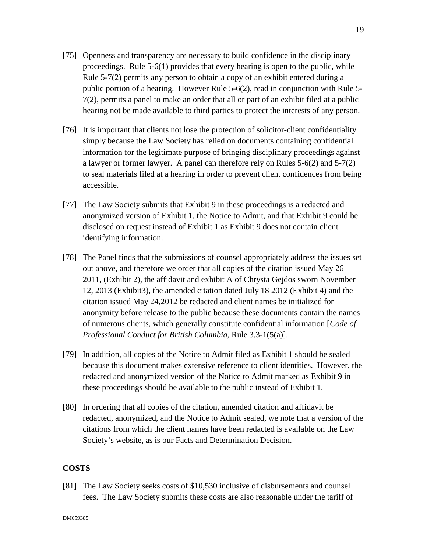- [75] Openness and transparency are necessary to build confidence in the disciplinary proceedings. Rule 5-6(1) provides that every hearing is open to the public, while Rule 5-7(2) permits any person to obtain a copy of an exhibit entered during a public portion of a hearing. However Rule 5-6(2), read in conjunction with Rule 5- 7(2), permits a panel to make an order that all or part of an exhibit filed at a public hearing not be made available to third parties to protect the interests of any person.
- [76] It is important that clients not lose the protection of solicitor-client confidentiality simply because the Law Society has relied on documents containing confidential information for the legitimate purpose of bringing disciplinary proceedings against a lawyer or former lawyer. A panel can therefore rely on Rules 5-6(2) and 5-7(2) to seal materials filed at a hearing in order to prevent client confidences from being accessible.
- [77] The Law Society submits that Exhibit 9 in these proceedings is a redacted and anonymized version of Exhibit 1, the Notice to Admit, and that Exhibit 9 could be disclosed on request instead of Exhibit 1 as Exhibit 9 does not contain client identifying information.
- [78] The Panel finds that the submissions of counsel appropriately address the issues set out above, and therefore we order that all copies of the citation issued May 26 2011, (Exhibit 2), the affidavit and exhibit A of Chrysta Gejdos sworn November 12, 2013 (Exhibit3), the amended citation dated July 18 2012 (Exhibit 4) and the citation issued May 24,2012 be redacted and client names be initialized for anonymity before release to the public because these documents contain the names of numerous clients, which generally constitute confidential information [*Code of Professional Conduct for British Columbia*, Rule 3.3-1(5(a)].
- [79] In addition, all copies of the Notice to Admit filed as Exhibit 1 should be sealed because this document makes extensive reference to client identities. However, the redacted and anonymized version of the Notice to Admit marked as Exhibit 9 in these proceedings should be available to the public instead of Exhibit 1.
- [80] In ordering that all copies of the citation, amended citation and affidavit be redacted, anonymized, and the Notice to Admit sealed, we note that a version of the citations from which the client names have been redacted is available on the Law Society's website, as is our Facts and Determination Decision.

### **COSTS**

[81] The Law Society seeks costs of \$10,530 inclusive of disbursements and counsel fees. The Law Society submits these costs are also reasonable under the tariff of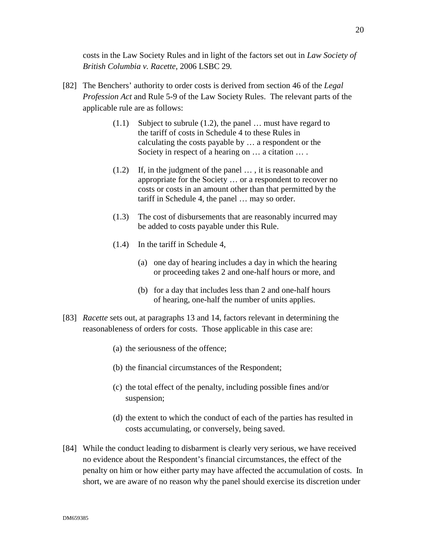costs in the Law Society Rules and in light of the factors set out in *Law Society of British Columbia v. Racette*, 2006 LSBC 29*.*

- [82] The Benchers' authority to order costs is derived from section 46 of the *Legal Profession Act* and Rule 5-9 of the Law Society Rules. The relevant parts of the applicable rule are as follows:
	- (1.1) Subject to subrule (1.2), the panel … must have regard to the tariff of costs in Schedule 4 to these Rules in calculating the costs payable by … a respondent or the Society in respect of a hearing on  $\dots$  a citation  $\dots$ .
	- (1.2) If, in the judgment of the panel … , it is reasonable and appropriate for the Society … or a respondent to recover no costs or costs in an amount other than that permitted by the tariff in Schedule 4, the panel … may so order.
	- (1.3) The cost of disbursements that are reasonably incurred may be added to costs payable under this Rule.
	- (1.4) In the tariff in Schedule 4,
		- (a) one day of hearing includes a day in which the hearing or proceeding takes 2 and one-half hours or more, and
		- (b) for a day that includes less than 2 and one-half hours of hearing, one-half the number of units applies.
- [83] *Racette* sets out, at paragraphs 13 and 14, factors relevant in determining the reasonableness of orders for costs. Those applicable in this case are:
	- (a) the seriousness of the offence;
	- (b) the financial circumstances of the Respondent;
	- (c) the total effect of the penalty, including possible fines and/or suspension;
	- (d) the extent to which the conduct of each of the parties has resulted in costs accumulating, or conversely, being saved.
- [84] While the conduct leading to disbarment is clearly very serious, we have received no evidence about the Respondent's financial circumstances, the effect of the penalty on him or how either party may have affected the accumulation of costs. In short, we are aware of no reason why the panel should exercise its discretion under